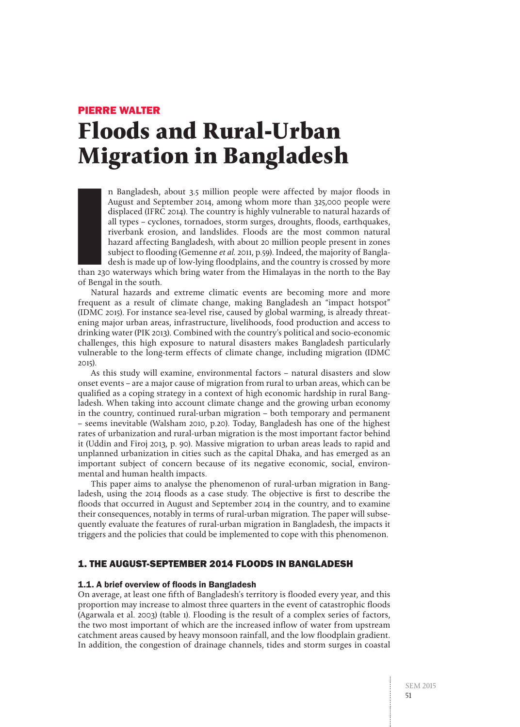# PIERRE WALTER **Floods and Rural-Urban Migration in Bangladesh**

n Bangladesh, about 3.5 million people were affected by major floods in August and September 2014, among whom more than 325,000 people were displaced (IFRC 2014). The country is highly vulnerable to natural hazards of all types – cyclones, tornadoes, storm surges, droughts, floods, earthquakes, riverbank erosion, and landslides. Floods are the most common natural hazard affecting Bangladesh, with about 20 million people present in zones subject to flooding (Gemenne et al. 2011, p.59). Indeed, the majority of Bangladesh is made up of low-lying floodplains, and the country is crossed by more

Index<br>Index<br>Index<br>Index<br>Index<br>Index than 230 waterways which bring water from the Himalayas in the north to the Bay of Bengal in the south.

Natural hazards and extreme climatic events are becoming more and more frequent as a result of climate change, making Bangladesh an "impact hotspot" (IDMC 2015). For instance sea-level rise, caused by global warming, is already threatening major urban areas, infrastructure, livelihoods, food production and access to drinking water (PIK 2013). Combined with the country's political and socio-economic challenges, this high exposure to natural disasters makes Bangladesh particularly vulnerable to the long-term effects of climate change, including migration (IDMC 2015).

As this study will examine, environmental factors – natural disasters and slow onset events – are a major cause of migration from rural to urban areas, which can be qualified as a coping strategy in a context of high economic hardship in rural Bangladesh. When taking into account climate change and the growing urban economy in the country, continued rural-urban migration – both temporary and permanent – seems inevitable (Walsham 2010, p.20). Today, Bangladesh has one of the highest rates of urbanization and rural-urban migration is the most important factor behind it (Uddin and Firoj 2013, p. 90). Massive migration to urban areas leads to rapid and unplanned urbanization in cities such as the capital Dhaka, and has emerged as an important subject of concern because of its negative economic, social, environmental and human health impacts.

This paper aims to analyse the phenomenon of rural-urban migration in Bangladesh, using the 2014 floods as a case study. The objective is first to describe the floods that occurred in August and September 2014 in the country, and to examine their consequences, notably in terms of rural-urban migration. The paper will subsequently evaluate the features of rural-urban migration in Bangladesh, the impacts it triggers and the policies that could be implemented to cope with this phenomenon.

## 1. THE AUGUST-SEPTEMBER 2014 FLOODS IN BANGLADESH

#### 1.1. A brief overview of floods in Bangladesh

On average, at least one fifth of Bangladesh's territory is flooded every year, and this proportion may increase to almost three quarters in the event of catastrophic floods (Agarwala et al. 2003) (table 1). Flooding is the result of a complex series of factors, the two most important of which are the increased inflow of water from upstream catchment areas caused by heavy monsoon rainfall, and the low floodplain gradient. In addition, the congestion of drainage channels, tides and storm surges in coastal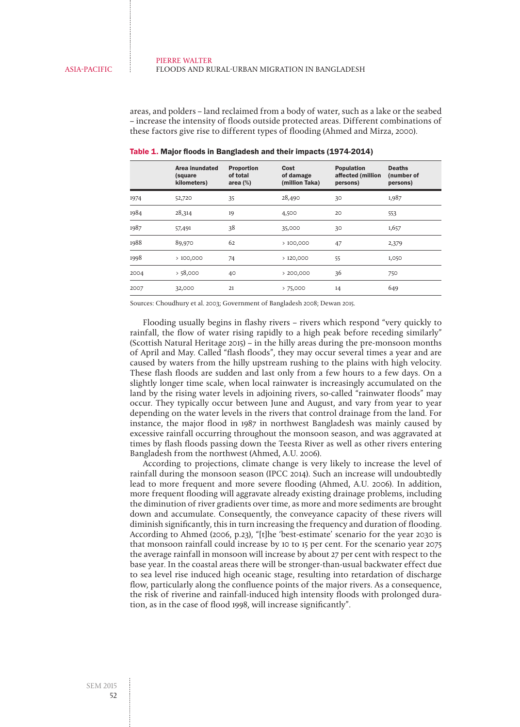areas, and polders – land reclaimed from a body of water, such as a lake or the seabed – increase the intensity of floods outside protected areas. Different combinations of these factors give rise to different types of flooding (Ahmed and Mirza, 2000).

|      | Area inundated<br>(square)<br>kilometers) | <b>Proportion</b><br>of total<br>area $(\%)$ | Cost<br>of damage<br>(million Taka) | <b>Population</b><br>affected (million<br>persons) | <b>Deaths</b><br>(number of<br>persons) |
|------|-------------------------------------------|----------------------------------------------|-------------------------------------|----------------------------------------------------|-----------------------------------------|
| 1974 | 52,720                                    | 35                                           | 28,490                              | 30                                                 | 1,987                                   |
| 1984 | 28,314                                    | 19                                           | 4,500                               | 20                                                 | 553                                     |
| 1987 | 57,491                                    | 38                                           | 35,000                              | 30                                                 | 1,657                                   |
| 1988 | 89,970                                    | 62                                           | >100,000                            | 47                                                 | 2,379                                   |
| 1998 | >100,000                                  | 74                                           | >120,000                            | 55                                                 | 1,050                                   |
| 2004 | > 58,000                                  | 40                                           | > 200,000                           | 36                                                 | 750                                     |
| 2007 | 32,000                                    | 21                                           | > 75,000                            | 14                                                 | 649                                     |
|      |                                           |                                              |                                     |                                                    |                                         |

Table 1. Major floods in Bangladesh and their impacts (1974-2014)

Sources: Choudhury et al. 2003; Government of Bangladesh 2008; Dewan 2015.

Flooding usually begins in flashy rivers – rivers which respond "very quickly to rainfall, the flow of water rising rapidly to a high peak before receding similarly" (Scottish Natural Heritage 2015) – in the hilly areas during the pre-monsoon months of April and May. Called "flash floods", they may occur several times a year and are caused by waters from the hilly upstream rushing to the plains with high velocity. These flash floods are sudden and last only from a few hours to a few days. On a slightly longer time scale, when local rainwater is increasingly accumulated on the land by the rising water levels in adjoining rivers, so-called "rainwater floods" may occur. They typically occur between June and August, and vary from year to year depending on the water levels in the rivers that control drainage from the land. For instance, the major flood in 1987 in northwest Bangladesh was mainly caused by excessive rainfall occurring throughout the monsoon season, and was aggravated at times by flash floods passing down the Teesta River as well as other rivers entering Bangladesh from the northwest (Ahmed, A.U. 2006).

According to projections, climate change is very likely to increase the level of rainfall during the monsoon season (IPCC 2014). Such an increase will undoubtedly lead to more frequent and more severe flooding (Ahmed, A.U. 2006). In addition, more frequent flooding will aggravate already existing drainage problems, including the diminution of river gradients over time, as more and more sediments are brought down and accumulate. Consequently, the conveyance capacity of these rivers will diminish significantly, this in turn increasing the frequency and duration of flooding. According to Ahmed (2006, p.23), "[t]he 'best-estimate' scenario for the year 2030 is that monsoon rainfall could increase by 10 to 15 per cent. For the scenario year 2075 the average rainfall in monsoon will increase by about 27 per cent with respect to the base year. In the coastal areas there will be stronger-than-usual backwater effect due to sea level rise induced high oceanic stage, resulting into retardation of discharge flow, particularly along the confluence points of the major rivers. As a consequence, the risk of riverine and rainfall-induced high intensity floods with prolonged duration, as in the case of flood 1998, will increase significantly".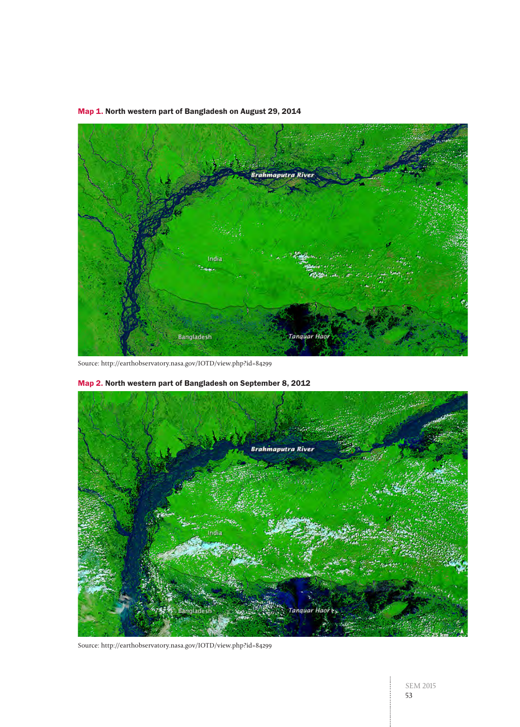

## Map 1. North western part of Bangladesh on August 29, 2014

Source: http://earthobservatory.nasa.gov/IOTD/view.php?id=84299



Map 2. North western part of Bangladesh on September 8, 2012

Source: http://earthobservatory.nasa.gov/IOTD/view.php?id=84299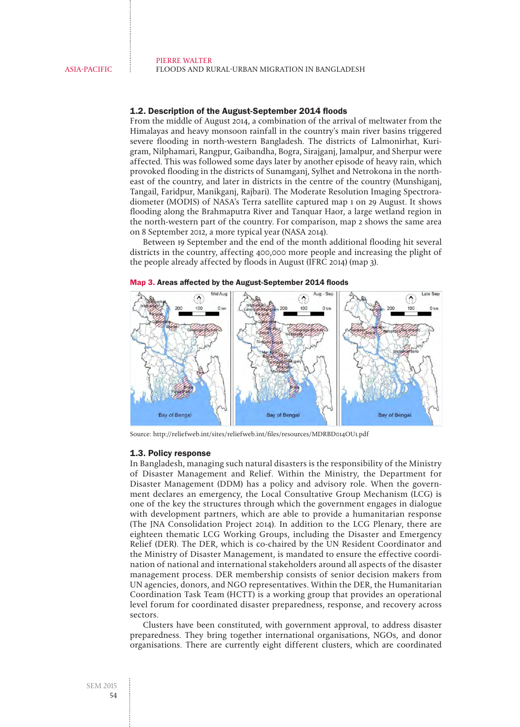#### 1.2. Description of the August-September 2014 floods

From the middle of August 2014, a combination of the arrival of meltwater from the Himalayas and heavy monsoon rainfall in the country's main river basins triggered severe flooding in north-western Bangladesh. The districts of Lalmonirhat, Kurigram, Nilphamari, Rangpur, Gaibandha, Bogra, Sirajganj, Jamalpur, and Sherpur were affected. This was followed some days later by another episode of heavy rain, which provoked flooding in the districts of Sunamganj, Sylhet and Netrokona in the northeast of the country, and later in districts in the centre of the country (Munshiganj, Tangail, Faridpur, Manikganj, Rajbari). The Moderate Resolution Imaging Spectroradiometer (MODIS) of NASA's Terra satellite captured map 1 on 29 August. It shows flooding along the Brahmaputra River and Tanquar Haor, a large wetland region in the north-western part of the country. For comparison, map 2 shows the same area on 8 September 2012, a more typical year (NASA 2014).

Between 19 September and the end of the month additional flooding hit several districts in the country, affecting 400,000 more people and increasing the plight of the people already affected by floods in August (IFRC 2014) (map 3).



Map 3. Areas affected by the August-September 2014 floods

Source: http://reliefweb.int/sites/reliefweb.int/files/resources/MDRBD014OU1.pdf

#### 1.3. Policy response

In Bangladesh, managing such natural disasters is the responsibility of the Ministry of Disaster Management and Relief. Within the Ministry, the Department for Disaster Management (DDM) has a policy and advisory role. When the government declares an emergency, the Local Consultative Group Mechanism (LCG) is one of the key the structures through which the government engages in dialogue with development partners, which are able to provide a humanitarian response (The JNA Consolidation Project 2014). In addition to the LCG Plenary, there are eighteen thematic LCG Working Groups, including the Disaster and Emergency Relief (DER). The DER, which is co-chaired by the UN Resident Coordinator and the Ministry of Disaster Management, is mandated to ensure the effective coordination of national and international stakeholders around all aspects of the disaster management process. DER membership consists of senior decision makers from UN agencies, donors, and NGO representatives. Within the DER, the Humanitarian Coordination Task Team (HCTT) is a working group that provides an operational level forum for coordinated disaster preparedness, response, and recovery across sectors.

Clusters have been constituted, with government approval, to address disaster preparedness. They bring together international organisations, NGOs, and donor organisations. There are currently eight different clusters, which are coordinated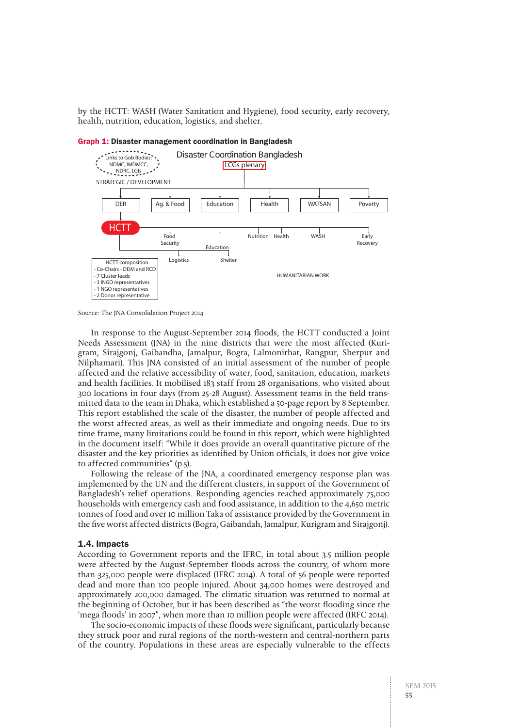by the HCTT: WASH (Water Sanitation and Hygiene), food security, early recovery, health, nutrition, education, logistics, and shelter.



#### Graph 1: Disaster management coordination in Bangladesh

Source: The INA Consolidation Project 2014

In response to the August-September 2014 floods, the HCTT conducted a Joint Needs Assessment (JNA) in the nine districts that were the most affected (Kurigram, Sirajgonj, Gaibandha, Jamalpur, Bogra, Lalmonirhat, Rangpur, Sherpur and Nilphamari). This JNA consisted of an initial assessment of the number of people affected and the relative accessibility of water, food, sanitation, education, markets and health facilities. It mobilised 183 staff from 28 organisations, who visited about 300 locations in four days (from 25-28 August). Assessment teams in the field transmitted data to the team in Dhaka, which established a 50-page report by 8 September. This report established the scale of the disaster, the number of people affected and the worst affected areas, as well as their immediate and ongoing needs. Due to its time frame, many limitations could be found in this report, which were highlighted in the document itself: "While it does provide an overall quantitative picture of the disaster and the key priorities as identified by Union officials, it does not give voice to affected communities" (p.5).

Following the release of the JNA, a coordinated emergency response plan was implemented by the UN and the different clusters, in support of the Government of Bangladesh's relief operations. Responding agencies reached approximately 75,000 households with emergency cash and food assistance, in addition to the 4,650 metric tonnes of food and over 10 million Taka of assistance provided by the Government in the five worst affected districts (Bogra, Gaibandah, Jamalpur, Kurigram and Sirajgonj).

#### 1.4. Impacts

According to Government reports and the IFRC, in total about 3.5 million people were affected by the August-September floods across the country, of whom more than 325,000 people were displaced (IFRC 2014). A total of 56 people were reported dead and more than 100 people injured. About 34,000 homes were destroyed and approximately 200,000 damaged. The climatic situation was returned to normal at the beginning of October, but it has been described as "the worst flooding since the 'mega floods' in 2007", when more than 10 million people were affected (IRFC 2014).

The socio-economic impacts of these floods were significant, particularly because they struck poor and rural regions of the north-western and central-northern parts of the country. Populations in these areas are especially vulnerable to the effects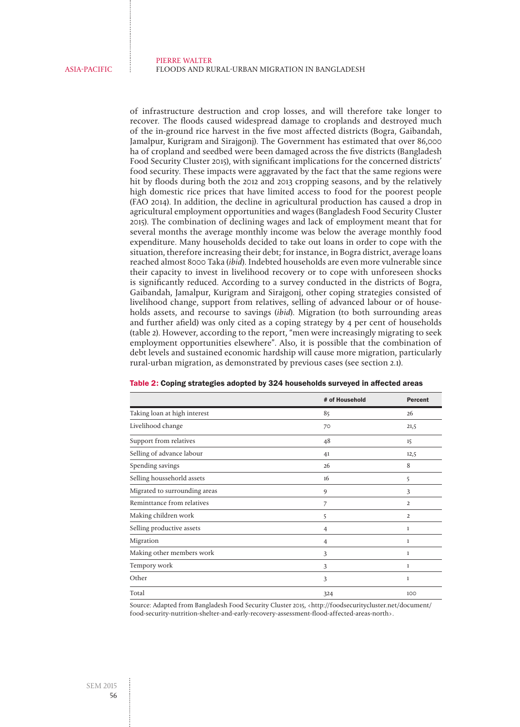of infrastructure destruction and crop losses, and will therefore take longer to recover. The floods caused widespread damage to croplands and destroyed much of the in-ground rice harvest in the five most affected districts (Bogra, Gaibandah, Jamalpur, Kurigram and Sirajgonj). The Government has estimated that over 86,000 ha of cropland and seedbed were been damaged across the five districts (Bangladesh Food Security Cluster 2015), with significant implications for the concerned districts' food security. These impacts were aggravated by the fact that the same regions were hit by floods during both the 2012 and 2013 cropping seasons, and by the relatively high domestic rice prices that have limited access to food for the poorest people (FAO 2014). In addition, the decline in agricultural production has caused a drop in agricultural employment opportunities and wages (Bangladesh Food Security Cluster 2015). The combination of declining wages and lack of employment meant that for several months the average monthly income was below the average monthly food expenditure. Many households decided to take out loans in order to cope with the situation, therefore increasing their debt; for instance, in Bogra district, average loans reached almost 8000 Taka (ibid). Indebted households are even more vulnerable since their capacity to invest in livelihood recovery or to cope with unforeseen shocks is significantly reduced. According to a survey conducted in the districts of Bogra, Gaibandah, Jamalpur, Kurigram and Sirajgonj, other coping strategies consisted of livelihood change, support from relatives, selling of advanced labour or of households assets, and recourse to savings (ibid). Migration (to both surrounding areas and further afield) was only cited as a coping strategy by 4 per cent of households (table 2). However, according to the report, "men were increasingly migrating to seek employment opportunities elsewhere". Also, it is possible that the combination of debt levels and sustained economic hardship will cause more migration, particularly rural-urban migration, as demonstrated by previous cases (see section 2.1).

|                               | # of Household | Percent        |
|-------------------------------|----------------|----------------|
| Taking loan at high interest  | 85             | 26             |
| Livelihood change             | 70             | 21,5           |
| Support from relatives        | 48             | 15             |
| Selling of advance labour     | 41             | 12,5           |
| Spending savings              | 26             | 8              |
| Selling houssehorld assets    | 16             | 5              |
| Migrated to surrounding areas | 9              | 3              |
| Reminttance from relatives    | 7              | 2              |
| Making children work          | 5              | $\overline{2}$ |
| Selling productive assets     | 4              | 1              |
| Migration                     | 4              | 1              |
| Making other members work     | 3              | $\mathbf{1}$   |
| Tempory work                  | 3              | 1              |
| Other                         | 3              | 1              |
| Total                         | 324            | 100            |

|  |  |  |  |  | Table 2: Coping strategies adopted by 324 households surveyed in affected areas |
|--|--|--|--|--|---------------------------------------------------------------------------------|
|--|--|--|--|--|---------------------------------------------------------------------------------|

Source: Adapted from Bangladesh Food Security Cluster 2015, <http://foodsecuritycluster.net/document/ food-security-nutrition-shelter-and-early-recovery-assessment-flood-affected-areas-north>.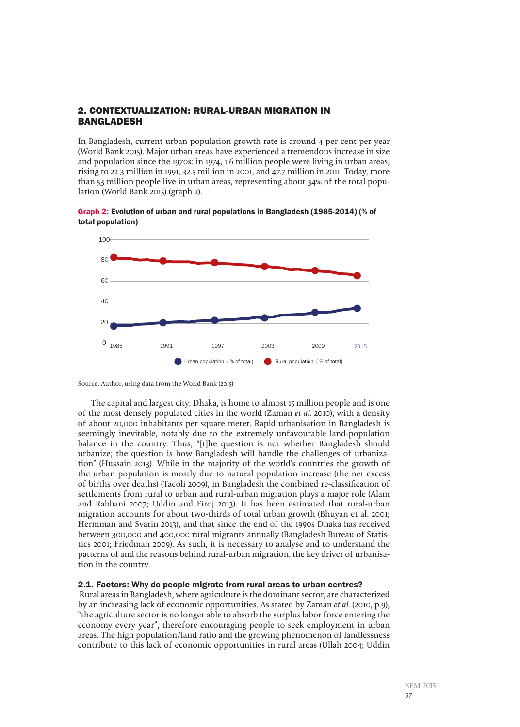## 2. CONTEXTUALIZATION: RURAL-URBAN MIGRATION IN BANGLADESH

In Bangladesh, current urban population growth rate is around 4 per cent per year (World Bank 2015). Major urban areas have experienced a tremendous increase in size and population since the 1970s: in 1974, 1.6 million people were living in urban areas, rising to 22.3 million in 1991, 32.5 million in 2001, and 47.7 million in 2011. Today, more than 53 million people live in urban areas, representing about 34% of the total population (World Bank 2015) (graph 2).





Source: Author, using data from the World Bank (2015)

The capital and largest city, Dhaka, is home to almost 15 million people and is one of the most densely populated cities in the world (Zaman et al. 2010), with a density of about 20,000 inhabitants per square meter. Rapid urbanisation in Bangladesh is seemingly inevitable, notably due to the extremely unfavourable land-population balance in the country. Thus, "[t]he question is not whether Bangladesh should urbanize; the question is how Bangladesh will handle the challenges of urbanization" (Hussain 2013). While in the majority of the world's countries the growth of the urban population is mostly due to natural population increase (the net excess of births over deaths) (Tacoli 2009), in Bangladesh the combined re-classification of settlements from rural to urban and rural-urban migration plays a major role (Alam and Rabbani 2007; Uddin and Firoj 2013). It has been estimated that rural-urban migration accounts for about two-thirds of total urban growth (Bhuyan et al. 2001; Hermman and Svarin 2013), and that since the end of the 1990s Dhaka has received between 300,000 and 400,000 rural migrants annually (Bangladesh Bureau of Statistics 2001; Friedman 2009). As such, it is necessary to analyse and to understand the patterns of and the reasons behind rural-urban migration, the key driver of urbanisation in the country.

#### 2.1. Factors: Why do people migrate from rural areas to urban centres?

 Rural areas in Bangladesh, where agriculture is the dominant sector, are characterized by an increasing lack of economic opportunities. As stated by Zaman et al. (2010, p.9), "the agriculture sector is no longer able to absorb the surplus labor force entering the economy every year", therefore encouraging people to seek employment in urban areas. The high population/land ratio and the growing phenomenon of landlessness contribute to this lack of economic opportunities in rural areas (Ullah 2004; Uddin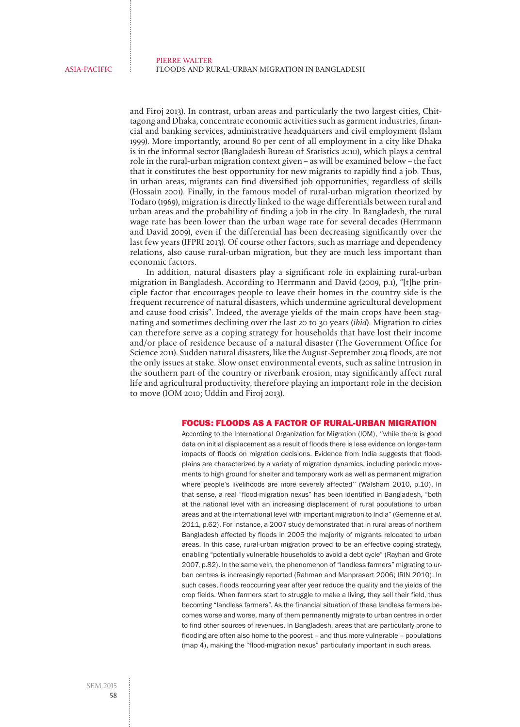and Firoj 2013). In contrast, urban areas and particularly the two largest cities, Chittagong and Dhaka, concentrate economic activities such as garment industries, financial and banking services, administrative headquarters and civil employment (Islam 1999). More importantly, around 80 per cent of all employment in a city like Dhaka is in the informal sector (Bangladesh Bureau of Statistics 2010), which plays a central role in the rural-urban migration context given – as will be examined below – the fact that it constitutes the best opportunity for new migrants to rapidly find a job. Thus, in urban areas, migrants can find diversified job opportunities, regardless of skills (Hossain 2001). Finally, in the famous model of rural-urban migration theorized by Todaro (1969), migration is directly linked to the wage differentials between rural and urban areas and the probability of finding a job in the city. In Bangladesh, the rural wage rate has been lower than the urban wage rate for several decades (Herrmann and David 2009), even if the differential has been decreasing significantly over the last few years (IFPRI 2013). Of course other factors, such as marriage and dependency relations, also cause rural-urban migration, but they are much less important than economic factors.

 In addition, natural disasters play a significant role in explaining rural-urban migration in Bangladesh. According to Herrmann and David (2009, p.1), "[t]he principle factor that encourages people to leave their homes in the country side is the frequent recurrence of natural disasters, which undermine agricultural development and cause food crisis". Indeed, the average yields of the main crops have been stagnating and sometimes declining over the last 20 to 30 years (ibid). Migration to cities can therefore serve as a coping strategy for households that have lost their income and/or place of residence because of a natural disaster (The Government Office for Science 2011). Sudden natural disasters, like the August-September 2014 floods, are not the only issues at stake. Slow onset environmental events, such as saline intrusion in the southern part of the country or riverbank erosion, may significantly affect rural life and agricultural productivity, therefore playing an important role in the decision to move (IOM 2010; Uddin and Firoj 2013).

#### FOCUS: FLOODS AS A FACTOR OF RURAL-URBAN MIGRATION

According to the International Organization for Migration (IOM), ''while there is good data on initial displacement as a result of floods there is less evidence on longer-term impacts of floods on migration decisions. Evidence from India suggests that floodplains are characterized by a variety of migration dynamics, including periodic movements to high ground for shelter and temporary work as well as permanent migration where people's livelihoods are more severely affected'' (Walsham 2010, p.10). In that sense, a real "flood-migration nexus" has been identified in Bangladesh, "both at the national level with an increasing displacement of rural populations to urban areas and at the international level with important migration to India" (Gemenne *et al*. 2011, p.62). For instance, a 2007 study demonstrated that in rural areas of northern Bangladesh affected by floods in 2005 the majority of migrants relocated to urban areas. In this case, rural-urban migration proved to be an effective coping strategy, enabling "potentially vulnerable households to avoid a debt cycle" (Rayhan and Grote 2007, p.82). In the same vein, the phenomenon of "landless farmers" migrating to urban centres is increasingly reported (Rahman and Manprasert 2006; IRIN 2010). In such cases, floods reoccurring year after year reduce the quality and the yields of the crop fields. When farmers start to struggle to make a living, they sell their field, thus becoming "landless farmers". As the financial situation of these landless farmers becomes worse and worse, many of them permanently migrate to urban centres in order to find other sources of revenues. In Bangladesh, areas that are particularly prone to flooding are often also home to the poorest – and thus more vulnerable – populations (map 4), making the "flood-migration nexus" particularly important in such areas.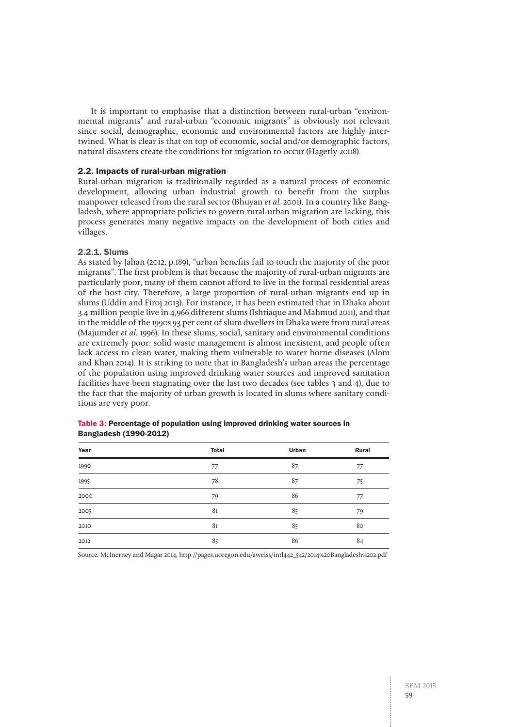It is important to emphasise that a distinction between rural-urban "environmental migrants" and rural-urban "economic migrants" is obviously not relevant since social, demographic, economic and environmental factors are highly intertwined. What is clear is that on top of economic, social and/or demographic factors, natural disasters create the conditions for migration to occur (Hagerly 2008).

#### 2.2. Impacts of rural-urban migration

Rural-urban migration is traditionally regarded as a natural process of economic development, allowing urban industrial growth to benefit from the surplus manpower released from the rural sector (Bhuyan et al. 2001). In a country like Bangladesh, where appropriate policies to govern rural-urban migration are lacking, this process generates many negative impacts on the development of both cities and villages.

#### 2.2.1. Slums

As stated by Jahan (2012, p.189), "urban benefits fail to touch the majority of the poor migrants". The first problem is that because the majority of rural-urban migrants are particularly poor, many of them cannot afford to live in the formal residential areas of the host city. Therefore, a large proportion of rural-urban migrants end up in slums (Uddin and Firoj 2013). For instance, it has been estimated that in Dhaka about 3.4 million people live in 4,966 different slums (Ishtiaque and Mahmud 2011), and that in the middle of the 1990s 93 per cent of slum dwellers in Dhaka were from rural areas (Majumder et al. 1996). In these slums, social, sanitary and environmental conditions are extremely poor: solid waste management is almost inexistent, and people often lack access to clean water, making them vulnerable to water borne diseases (Alom and Khan 2014). It is striking to note that in Bangladesh's urban areas the percentage of the population using improved drinking water sources and improved sanitation facilities have been stagnating over the last two decades (see tables 3 and 4), due to the fact that the majority of urban growth is located in slums where sanitary conditions are very poor.

| Year           | <b>Total</b> | Urban | Rural |
|----------------|--------------|-------|-------|
| 1990           | 77           | 87    | 77    |
| 1995           | 78           | 87    | 75    |
| 2000           | 79           | 86    | 77    |
| 2005           | 81           | 85    | 79    |
| $\sim$<br>2010 | 81           | 85    | 80    |
| 2012           | 85           | 86    | 84    |

Table 3: Percentage of population using improved drinking water sources in Bangladesh (1990-2012)

Source: McInerney and Magar 2014, http://pages.uoregon.edu/aweiss/intl442\_542/2014%20Bangladesh%202.pdf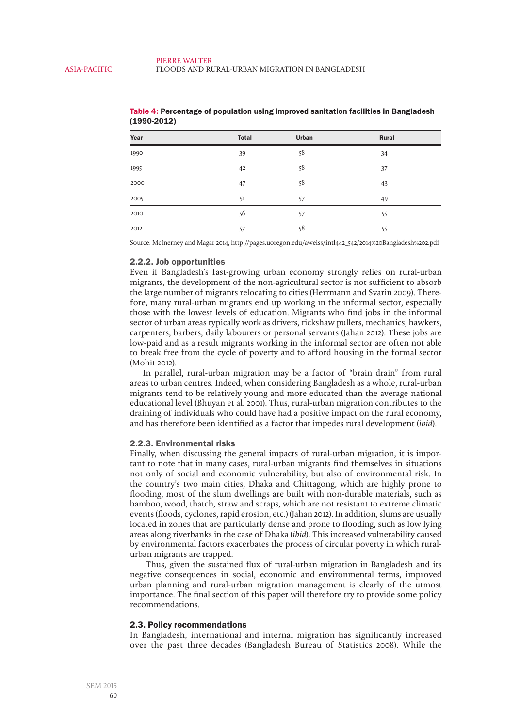| Year | <b>Total</b> | Urban | Rural |
|------|--------------|-------|-------|
| 1990 | 39           | 58    | 34    |
| 1995 | 42           | 58    | 37    |
| 2000 | 47           | 58    | 43    |
| 2005 | 51           | 57    | 49    |
| 2010 | 56           | 57    | 55    |
| 2012 | 57           | 58    | 55    |

Table 4: Percentage of population using improved sanitation facilities in Bangladesh (1990-2012)

Source: McInerney and Magar 2014, http://pages.uoregon.edu/aweiss/intl442\_542/2014%20Bangladesh%202.pdf

#### 2.2.2. Job opportunities

Even if Bangladesh's fast-growing urban economy strongly relies on rural-urban migrants, the development of the non-agricultural sector is not sufficient to absorb the large number of migrants relocating to cities (Herrmann and Svarin 2009). Therefore, many rural-urban migrants end up working in the informal sector, especially those with the lowest levels of education. Migrants who find jobs in the informal sector of urban areas typically work as drivers, rickshaw pullers, mechanics, hawkers, carpenters, barbers, daily labourers or personal servants (Jahan 2012). These jobs are low-paid and as a result migrants working in the informal sector are often not able to break free from the cycle of poverty and to afford housing in the formal sector (Mohit 2012).

In parallel, rural-urban migration may be a factor of "brain drain" from rural areas to urban centres. Indeed, when considering Bangladesh as a whole, rural-urban migrants tend to be relatively young and more educated than the average national educational level (Bhuyan et al. 2001). Thus, rural-urban migration contributes to the draining of individuals who could have had a positive impact on the rural economy, and has therefore been identified as a factor that impedes rural development (ibid).

#### 2.2.3. Environmental risks

Finally, when discussing the general impacts of rural-urban migration, it is important to note that in many cases, rural-urban migrants find themselves in situations not only of social and economic vulnerability, but also of environmental risk. In the country's two main cities, Dhaka and Chittagong, which are highly prone to flooding, most of the slum dwellings are built with non-durable materials, such as bamboo, wood, thatch, straw and scraps, which are not resistant to extreme climatic events (floods, cyclones, rapid erosion, etc.) (Jahan 2012). In addition, slums are usually located in zones that are particularly dense and prone to flooding, such as low lying areas along riverbanks in the case of Dhaka (ibid). This increased vulnerability caused by environmental factors exacerbates the process of circular poverty in which ruralurban migrants are trapped.

 Thus, given the sustained flux of rural-urban migration in Bangladesh and its negative consequences in social, economic and environmental terms, improved urban planning and rural-urban migration management is clearly of the utmost importance. The final section of this paper will therefore try to provide some policy recommendations.

#### 2.3. Policy recommendations

In Bangladesh, international and internal migration has significantly increased over the past three decades (Bangladesh Bureau of Statistics 2008). While the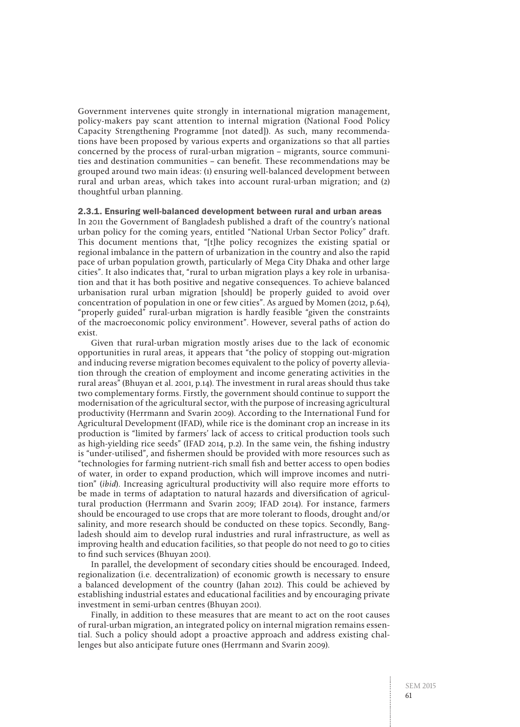Government intervenes quite strongly in international migration management, policy-makers pay scant attention to internal migration (National Food Policy Capacity Strengthening Programme [not dated]). As such, many recommendations have been proposed by various experts and organizations so that all parties concerned by the process of rural-urban migration – migrants, source communities and destination communities – can benefit. These recommendations may be grouped around two main ideas: (1) ensuring well-balanced development between rural and urban areas, which takes into account rural-urban migration; and (2) thoughtful urban planning.

## 2.3.1. Ensuring well-balanced development between rural and urban areas

In 2011 the Government of Bangladesh published a draft of the country's national urban policy for the coming years, entitled "National Urban Sector Policy" draft. This document mentions that, "[t]he policy recognizes the existing spatial or regional imbalance in the pattern of urbanization in the country and also the rapid pace of urban population growth, particularly of Mega City Dhaka and other large cities". It also indicates that, "rural to urban migration plays a key role in urbanisation and that it has both positive and negative consequences. To achieve balanced urbanisation rural urban migration [should] be properly guided to avoid over concentration of population in one or few cities". As argued by Momen (2012, p.64), "properly guided" rural-urban migration is hardly feasible "given the constraints of the macroeconomic policy environment". However, several paths of action do exist.

Given that rural-urban migration mostly arises due to the lack of economic opportunities in rural areas, it appears that "the policy of stopping out-migration and inducing reverse migration becomes equivalent to the policy of poverty alleviation through the creation of employment and income generating activities in the rural areas" (Bhuyan et al. 2001, p.14). The investment in rural areas should thus take two complementary forms. Firstly, the government should continue to support the modernisation of the agricultural sector, with the purpose of increasing agricultural productivity (Herrmann and Svarin 2009). According to the International Fund for Agricultural Development (IFAD), while rice is the dominant crop an increase in its production is "limited by farmers' lack of access to critical production tools such as high-yielding rice seeds" (IFAD 2014, p.2). In the same vein, the fishing industry is "under-utilised", and fishermen should be provided with more resources such as "technologies for farming nutrient-rich small fish and better access to open bodies of water, in order to expand production, which will improve incomes and nutrition" (ibid). Increasing agricultural productivity will also require more efforts to be made in terms of adaptation to natural hazards and diversification of agricultural production (Herrmann and Svarin 2009; IFAD 2014). For instance, farmers should be encouraged to use crops that are more tolerant to floods, drought and/or salinity, and more research should be conducted on these topics. Secondly, Bangladesh should aim to develop rural industries and rural infrastructure, as well as improving health and education facilities, so that people do not need to go to cities to find such services (Bhuyan 2001).

In parallel, the development of secondary cities should be encouraged. Indeed, regionalization (i.e. decentralization) of economic growth is necessary to ensure a balanced development of the country (Jahan 2012). This could be achieved by establishing industrial estates and educational facilities and by encouraging private investment in semi-urban centres (Bhuyan 2001).

Finally, in addition to these measures that are meant to act on the root causes of rural-urban migration, an integrated policy on internal migration remains essential. Such a policy should adopt a proactive approach and address existing challenges but also anticipate future ones (Herrmann and Svarin 2009).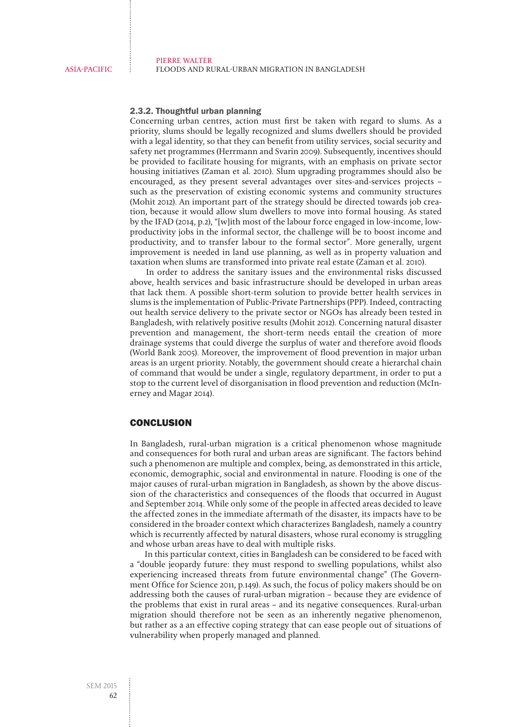#### 2.3.2. Thoughtful urban planning

Concerning urban centres, action must first be taken with regard to slums. As a priority, slums should be legally recognized and slums dwellers should be provided with a legal identity, so that they can benefit from utility services, social security and safety net programmes (Herrmann and Svarin 2009). Subsequently, incentives should be provided to facilitate housing for migrants, with an emphasis on private sector housing initiatives (Zaman et al. 2010). Slum upgrading programmes should also be encouraged, as they present several advantages over sites-and-services projects – such as the preservation of existing economic systems and community structures (Mohit 2012). An important part of the strategy should be directed towards job creation, because it would allow slum dwellers to move into formal housing. As stated by the IFAD (2014, p.2), "[w]ith most of the labour force engaged in low-income, lowproductivity jobs in the informal sector, the challenge will be to boost income and productivity, and to transfer labour to the formal sector". More generally, urgent improvement is needed in land use planning, as well as in property valuation and taxation when slums are transformed into private real estate (Zaman et al. 2010).

 In order to address the sanitary issues and the environmental risks discussed above, health services and basic infrastructure should be developed in urban areas that lack them. A possible short-term solution to provide better health services in slums is the implementation of Public-Private Partnerships (PPP). Indeed, contracting out health service delivery to the private sector or NGOs has already been tested in Bangladesh, with relatively positive results (Mohit 2012). Concerning natural disaster prevention and management, the short-term needs entail the creation of more drainage systems that could diverge the surplus of water and therefore avoid floods (World Bank 2005). Moreover, the improvement of flood prevention in major urban areas is an urgent priority. Notably, the government should create a hierarchal chain of command that would be under a single, regulatory department, in order to put a stop to the current level of disorganisation in flood prevention and reduction (McInerney and Magar 2014).

## **CONCLUSION**

In Bangladesh, rural-urban migration is a critical phenomenon whose magnitude and consequences for both rural and urban areas are significant. The factors behind such a phenomenon are multiple and complex, being, as demonstrated in this article, economic, demographic, social and environmental in nature. Flooding is one of the major causes of rural-urban migration in Bangladesh, as shown by the above discussion of the characteristics and consequences of the floods that occurred in August and September 2014. While only some of the people in affected areas decided to leave the affected zones in the immediate aftermath of the disaster, its impacts have to be considered in the broader context which characterizes Bangladesh, namely a country which is recurrently affected by natural disasters, whose rural economy is struggling and whose urban areas have to deal with multiple risks.

 In this particular context, cities in Bangladesh can be considered to be faced with a "double jeopardy future: they must respond to swelling populations, whilst also experiencing increased threats from future environmental change" (The Government Office for Science 2011, p.149). As such, the focus of policy makers should be on addressing both the causes of rural-urban migration – because they are evidence of the problems that exist in rural areas – and its negative consequences. Rural-urban migration should therefore not be seen as an inherently negative phenomenon, but rather as a an effective coping strategy that can ease people out of situations of vulnerability when properly managed and planned.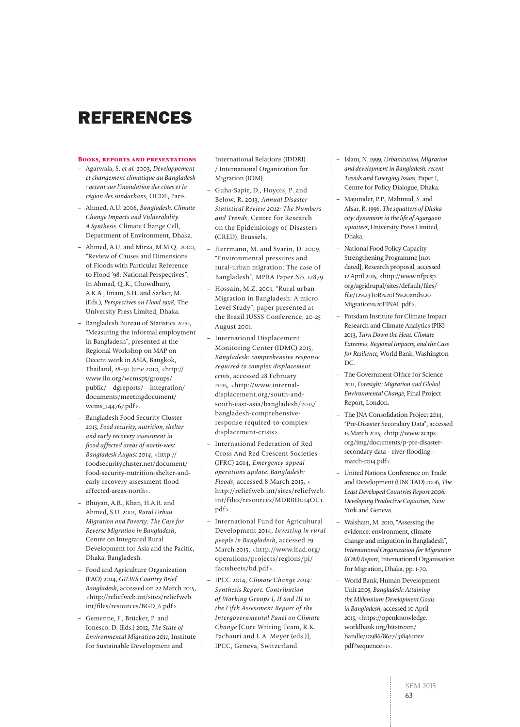## REFERENCES

#### **Books, reports and presentations**

- Agarwala, S. et al. 2003, Développement et changement climatique au Bangladesh : accent sur l'inondation des côtes et la région des sundarbans, OCDE, Paris.
- Ahmed, A.U. 2006, Bangladesh. Climate Change Impacts and Vulnerability. A Synthesis. Climate Change Cell, Department of Environment, Dhaka.
- Ahmed, A.U. and Mirza, M.M.Q . 2000, "Review of Causes and Dimensions of Floods with Particular Reference to Flood '98: National Perspectives", In Ahmad, Q .K., Chowdhury, A.K.A., Imam, S.H. and Sarker, M. (Eds.), Perspectives on Flood 1998, The University Press Limited, Dhaka.
- Bangladesh Bureau of Statistics 2010, "Measuring the informal employment in Bangladesh", presented at the Regional Workshop on MAP on Decent work in ASIA, Bangkok, Thailand, 28-30 June 2010, <http:// www.ilo.org/wcmsp5/groups/ public/---dgreports/---integration/ documents/meetingdocument/ wcms\_144767.pdf>.
- Bangladesh Food Security Cluster 2015, Food security, nutrition, shelter and early recovery assessment in flood affected areas of north-west Bangladesh August 2014, <http:// foodsecuritycluster.net/document/ food-security-nutrition-shelter-andearly-recovery-assessment-floodaffected-areas-north>.
- Bhuyan, A.R., Khan, H.A.R. and Ahmed, S.U. 2001, Rural Urban Migration and Poverty: The Case for Reverse Migration in Bangladesh, Centre on Integrated Rural Development for Asia and the Pacific, Dhaka, Bangladesh.
- Food and Agriculture Organization (FAO) 2014, GIEWS Country Brief. Bangladesh, accessed on 22 March 2015, <http://reliefweb.int/sites/reliefweb. int/files/resources/BGD\_6.pdf>.
- Gemenne, F., Brücker, P. and Ionesco, D. (Eds.) 2012, The State of Environmental Migration 2011, Institute for Sustainable Development and

International Relations (IDDRI) / International Organization for Migration (IOM).

- Guha-Sapir, D., Hoyois, P. and Below, R. 2013, Annual Disaster Statistical Review 2012: The Numbers and Trends, Centre for Research on the Epidemiology of Disasters (CRED), Brussels.
- Herrmann, M. and Svarin, D. 2009, "Environmental pressures and rural-urban migration: The case of Bangladesh", MPRA Paper No. 12879.
- Hossain, M.Z. 2001, "Rural urban Migration in Bangladesh: A micro Level Study", paper presented at the Brazil IUSSS Conference, 20-25 August 2001.
- International Displacement Monitoring Center (IDMC) 2015, Bangladesh: comprehensive response required to complex displacement crisis, accessed 28 February 2015, <http://www.internaldisplacement.org/south-andsouth-east-asia/bangladesh/2015/ bangladesh-comprehensiveresponse-required-to-complexdisplacement-crisis>.
- International Federation of Red Cross And Red Crescent Societies (IFRC) 2014, Emergency appeal operations update. Bangladesh: Floods, accessed 8 March 2015, < http://reliefweb.int/sites/reliefweb. int/files/resources/MDRBD014OU1. pdf>.
- International Fund for Agricultural Development 2014, Investing in rural people in Bangladesh, accessed 29 March 2015, <http://www.ifad.org/ operations/projects/regions/pi/ factsheets/bd.pdf>.
- IPCC 2014, Climate Change 2014: Synthesis Report. Contribution of Working Groups I, II and III to the Fifth Assessment Report of the Intergovernmental Panel on Climate Change [Core Writing Team, R.K. Pachauri and L.A. Meyer (eds.)], IPCC, Geneva, Switzerland.
- Islam, N. 1999, Urbanization, Migration and development in Bangladesh: recent Trends and Emerging Issues, Paper I, Centre for Policy Dialogue, Dhaka.
- Majumder, P.P., Mahmud, S. and Afsar, R. 1996, The squatters of Dhaka city: dynamism in the life of Agargaon squatters, University Press Limited, Dhaka.
- National Food Policy Capacity Strengthening Programme [not dated], Research proposal, accessed 12 April 2015, <http://www.nfpcsp. org/agridrupal/sites/default/files/ file/12%23ToR%20FS%20and%20 Migration%20FINAL.pdf>.
- Potsdam Institute for Climate Impact Research and Climate Analytics (PIK) 2013, Turn Down the Heat: Climate Extremes, Regional Impacts, and the Case for Resilience, World Bank, Washington DC.
- The Government Office for Science 2011, Foresight: Migration and Global Environmental Change, Final Project Report, London.
- The JNA Consolidation Project 2014, "Pre-Disaster Secondary Data", accessed 15 March 2015, <http://www.acaps. org/img/documents/p-pre-disastersecondary-data---river-flooding-- march-2014.pdf>.
- United Nations Conference on Trade and Development (UNCTAD) 2006, The Least Developed Countries Report 2006: Developing Productive Capacities, New York and Geneva.
- Walsham, M. 2010, "Assessing the evidence: environment, climate change and migration in Bangladesh", International Organization for Migration (IOM) Report, International Organisation for Migration, Dhaka, pp. 1-70.
- World Bank, Human Development Unit 2005, Bangladesh: Attaining the Millennium Development Goals in Bangladesh, accessed 10 April 2015, <https://openknowledge. worldbank.org/bitstream/ handle/10986/8627/318460rev. pdf?sequence=1>.